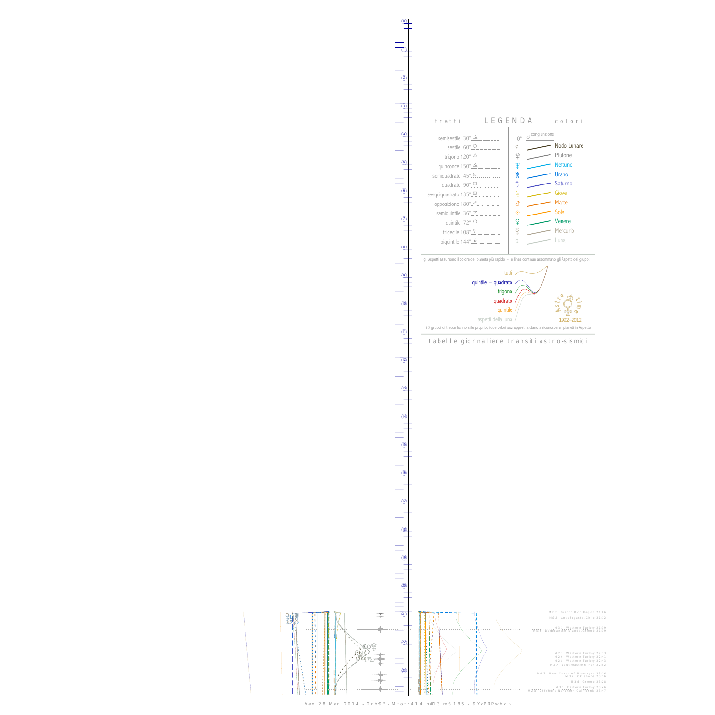S -5.7